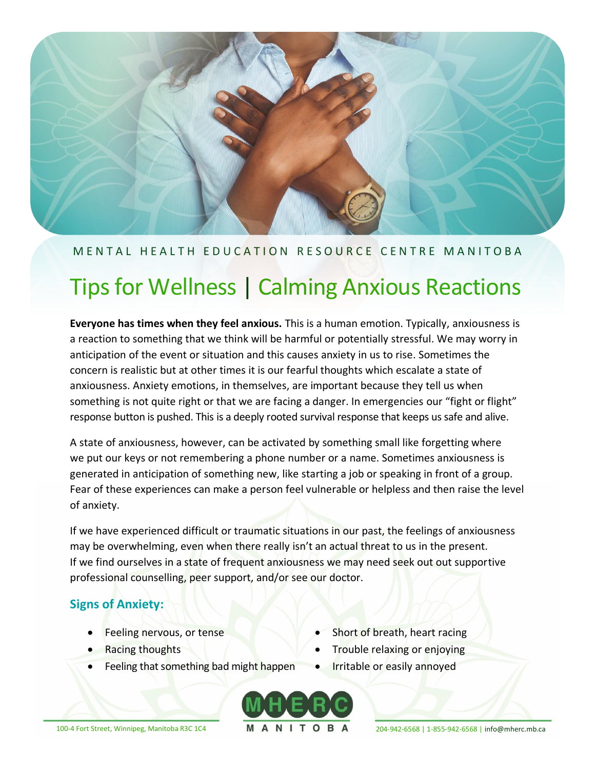

## M E N T A L H E A L T H E D U C A T I O N R E S O U R C E C E N T R EM A N I T O B A

# Tips for Wellness | Calming Anxious Reactions

**Everyone has times when they feel anxious.** This is a human emotion. Typically, anxiousness is a reaction to something that we think will be harmful or potentially stressful. We may worry in anticipation of the event or situation and this causes anxiety in us to rise. Sometimes the concern is realistic but at other times it is our fearful thoughts which escalate a state of anxiousness. Anxiety emotions, in themselves, are important because they tell us when something is not quite right or that we are facing a danger. In emergencies our "fight or flight" response button is pushed. This is a deeply rooted survival response that keeps us safe and alive.

A state of anxiousness, however, can be activated by something small like forgetting where we put our keys or not remembering a phone number or a name. Sometimes anxiousness is generated in anticipation of something new, like starting a job or speaking in front of a group. Fear of these experiences can make a person feel vulnerable or helpless and then raise the level of anxiety.

If we have experienced difficult or traumatic situations in our past, the feelings of anxiousness may be overwhelming, even when there really isn't an actual threat to us in the present. If we find ourselves in a state of frequent anxiousness we may need seek out out supportive professional counselling, peer support, and/or see our doctor.

## **Signs of Anxiety:**

- Feeling nervous, or tense
- Racing thoughts
- Feeling that something bad might happen
- Short of breath, heart racing
- Trouble relaxing or enjoying
- Irritable or easily annoyed



100-4 Fort Street, Winnipeg, Manitoba R3C 1C4 **MANITOBA** 204-942-6568 | 1-855-942-6568 | [info@mherc.mb.ca](mailto:info@mherc.mb.ca)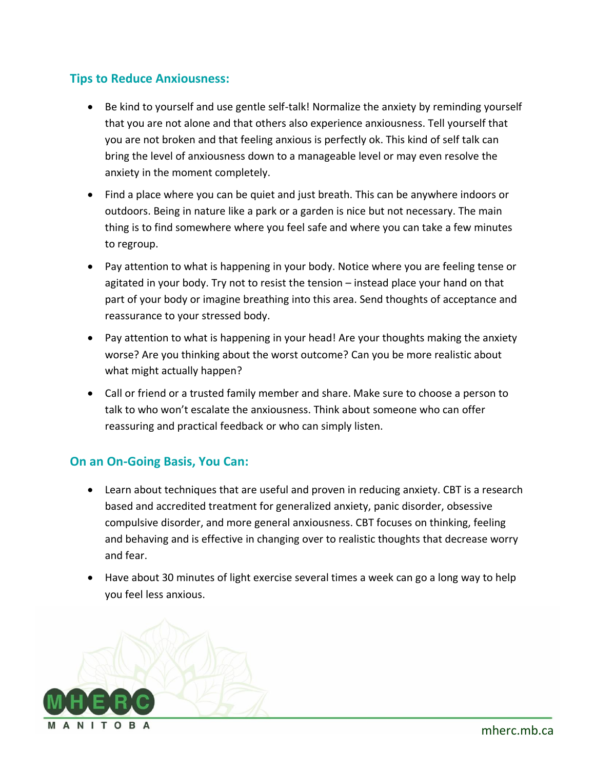### **Tips to Reduce Anxiousness:**

- Be kind to yourself and use gentle self-talk! Normalize the anxiety by reminding yourself that you are not alone and that others also experience anxiousness. Tell yourself that you are not broken and that feeling anxious is perfectly ok. This kind of self talk can bring the level of anxiousness down to a manageable level or may even resolve the anxiety in the moment completely.
- Find a place where you can be quiet and just breath. This can be anywhere indoors or outdoors. Being in nature like a park or a garden is nice but not necessary. The main thing is to find somewhere where you feel safe and where you can take a few minutes to regroup.
- Pay attention to what is happening in your body. Notice where you are feeling tense or agitated in your body. Try not to resist the tension – instead place your hand on that part of your body or imagine breathing into this area. Send thoughts of acceptance and reassurance to your stressed body.
- Pay attention to what is happening in your head! Are your thoughts making the anxiety worse? Are you thinking about the worst outcome? Can you be more realistic about what might actually happen?
- Call or friend or a trusted family member and share. Make sure to choose a person to talk to who won't escalate the anxiousness. Think about someone who can offer reassuring and practical feedback or who can simply listen.

#### **On an On-Going Basis, You Can:**

- Learn about techniques that are useful and proven in reducing anxiety. CBT is a research based and accredited treatment for generalized anxiety, panic disorder, obsessive compulsive disorder, and more general anxiousness. CBT focuses on thinking, feeling and behaving and is effective in changing over to realistic thoughts that decrease worry and fear.
- Have about 30 minutes of light exercise several times a week can go a long way to help you feel less anxious.